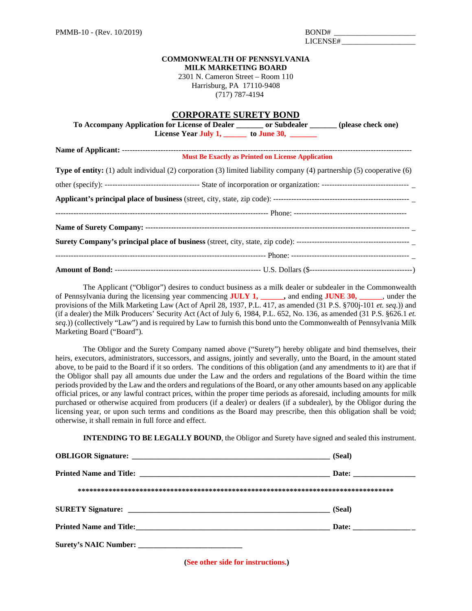| BOND# |  |
|-------|--|
| 10 T  |  |

## **COMMONWEALTH OF PENNSYLVANIA MILK MARKETING BOARD**

2301 N. Cameron Street – Room 110 Harrisburg, PA 17110-9408 (717) 787-4194

## **CORPORATE SURETY BOND**

|                                                                                                                               | To Accompany Application for License of Dealer ________ or Subdealer ______ (please check one)<br>License Year July 1, ________ to June 30, _______ |                                                          |  |
|-------------------------------------------------------------------------------------------------------------------------------|-----------------------------------------------------------------------------------------------------------------------------------------------------|----------------------------------------------------------|--|
|                                                                                                                               |                                                                                                                                                     | <b>Must Be Exactly as Printed on License Application</b> |  |
| <b>Type of entity:</b> (1) adult individual (2) corporation (3) limited liability company (4) partnership (5) cooperative (6) |                                                                                                                                                     |                                                          |  |
|                                                                                                                               |                                                                                                                                                     |                                                          |  |
|                                                                                                                               |                                                                                                                                                     |                                                          |  |
|                                                                                                                               |                                                                                                                                                     |                                                          |  |
|                                                                                                                               |                                                                                                                                                     |                                                          |  |
|                                                                                                                               |                                                                                                                                                     |                                                          |  |
|                                                                                                                               |                                                                                                                                                     |                                                          |  |
|                                                                                                                               |                                                                                                                                                     |                                                          |  |

The Applicant ("Obligor") desires to conduct business as a milk dealer or subdealer in the Commonwealth of Pennsylvania during the licensing year commencing **JULY 1, \_\_\_\_\_\_,** and ending **JUNE 30, \_\_\_\_\_\_**, under the provisions of the Milk Marketing Law (Act of April 28, 1937, P.L. 417, as amended (31 P.S. §700j-101 *et. seq.*)) and (if a dealer) the Milk Producers' Security Act (Act of July 6, 1984, P.L. 652, No. 136, as amended (31 P.S. §626.1 *et. seq.*)) (collectively "Law") and is required by Law to furnish this bond unto the Commonwealth of Pennsylvania Milk Marketing Board ("Board").

The Obligor and the Surety Company named above ("Surety") hereby obligate and bind themselves, their heirs, executors, administrators, successors, and assigns, jointly and severally, unto the Board, in the amount stated above, to be paid to the Board if it so orders. The conditions of this obligation (and any amendments to it) are that if the Obligor shall pay all amounts due under the Law and the orders and regulations of the Board within the time periods provided by the Law and the orders and regulations of the Board, or any other amounts based on any applicable official prices, or any lawful contract prices, within the proper time periods as aforesaid, including amounts for milk purchased or otherwise acquired from producers (if a dealer) or dealers (if a subdealer), by the Obligor during the licensing year, or upon such terms and conditions as the Board may prescribe, then this obligation shall be void; otherwise, it shall remain in full force and effect.

**INTENDING TO BE LEGALLY BOUND**, the Obligor and Surety have signed and sealed this instrument.

|                       | (Seal) |
|-----------------------|--------|
|                       |        |
|                       |        |
|                       | (Seal) |
|                       |        |
| Surety's NAIC Number: |        |

**(See other side for instructions.)**